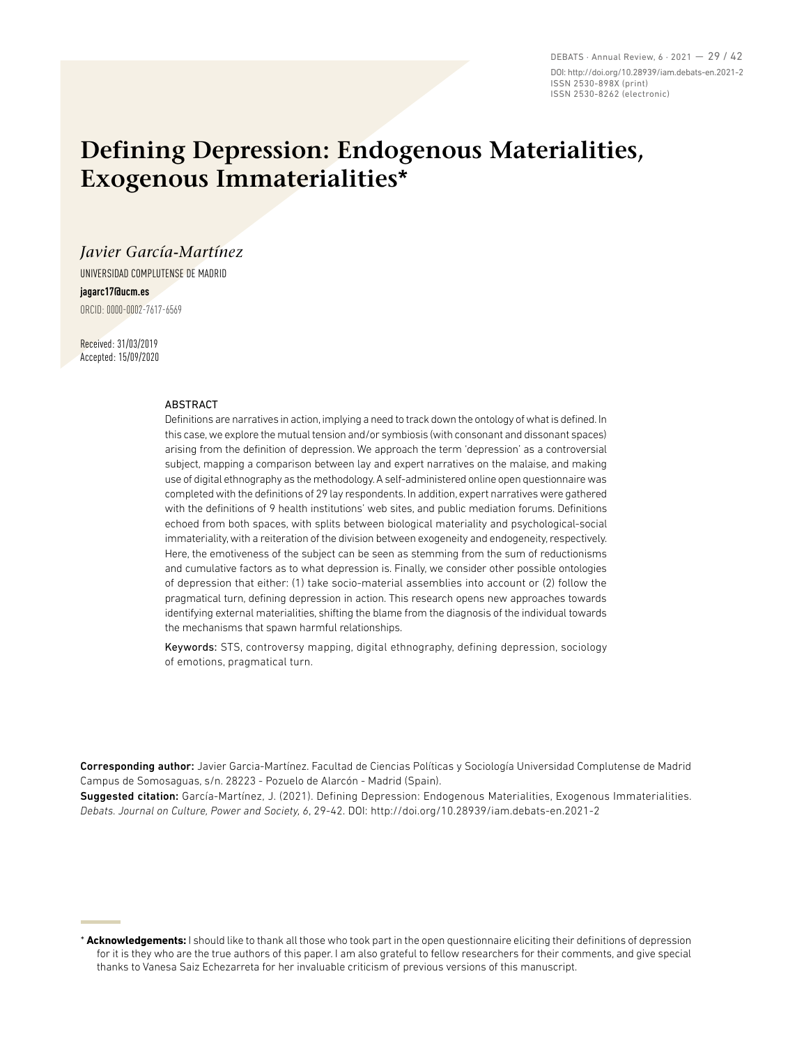DEBATS · Annual Review, 6 · 2021 — 29 / 42 DOI: http://doi.org/10.28939/iam.debats-en.2021-2 ISSN 2530-898X (print) ISSN 2530-8262 (electronic)

# **Defining Depression: Endogenous Materialities, Exogenous Immaterialities\***

### *Javier García-Martínez*

UNIVERSIDAD COMPLUTENSE DE MADRID **jagarc17@ucm.es**

ORCID: 0000-0002-7617-6569

Received: 31/03/2019 Accepted: 15/09/2020

#### ABSTRACT

Definitions are narratives in action, implying a need to track down the ontology of what is defined. In this case, we explore the mutual tension and/or symbiosis (with consonant and dissonant spaces) arising from the definition of depression. We approach the term 'depression' as a controversial subject, mapping a comparison between lay and expert narratives on the malaise, and making use of digital ethnography as the methodology. A self-administered online open questionnaire was completed with the definitions of 29 lay respondents. In addition, expert narratives were gathered with the definitions of 9 health institutions' web sites, and public mediation forums. Definitions echoed from both spaces, with splits between biological materiality and psychological-social immateriality, with a reiteration of the division between exogeneity and endogeneity, respectively. Here, the emotiveness of the subject can be seen as stemming from the sum of reductionisms and cumulative factors as to what depression is. Finally, we consider other possible ontologies of depression that either: (1) take socio-material assemblies into account or (2) follow the pragmatical turn, defining depression in action. This research opens new approaches towards identifying external materialities, shifting the blame from the diagnosis of the individual towards the mechanisms that spawn harmful relationships.

Keywords: STS, controversy mapping, digital ethnography, defining depression, sociology of emotions, pragmatical turn.

Corresponding author: Javier Garcia-Martínez. Facultad de Ciencias Políticas y Sociología Universidad Complutense de Madrid Campus de Somosaguas, s/n. 28223 - Pozuelo de Alarcón - Madrid (Spain).

Suggested citation: García-Martínez, J. (2021). Defining Depression: Endogenous Materialities, Exogenous Immaterialities. *Debats. Journal on Culture, Power and Society, 6*, 29-42. DOI: http://doi.org/10.28939/iam.debats-en.2021-2

\* **Acknowledgements:** I should like to thank all those who took part in the open questionnaire eliciting their definitions of depression for it is they who are the true authors of this paper. I am also grateful to fellow researchers for their comments, and give special thanks to Vanesa Saiz Echezarreta for her invaluable criticism of previous versions of this manuscript.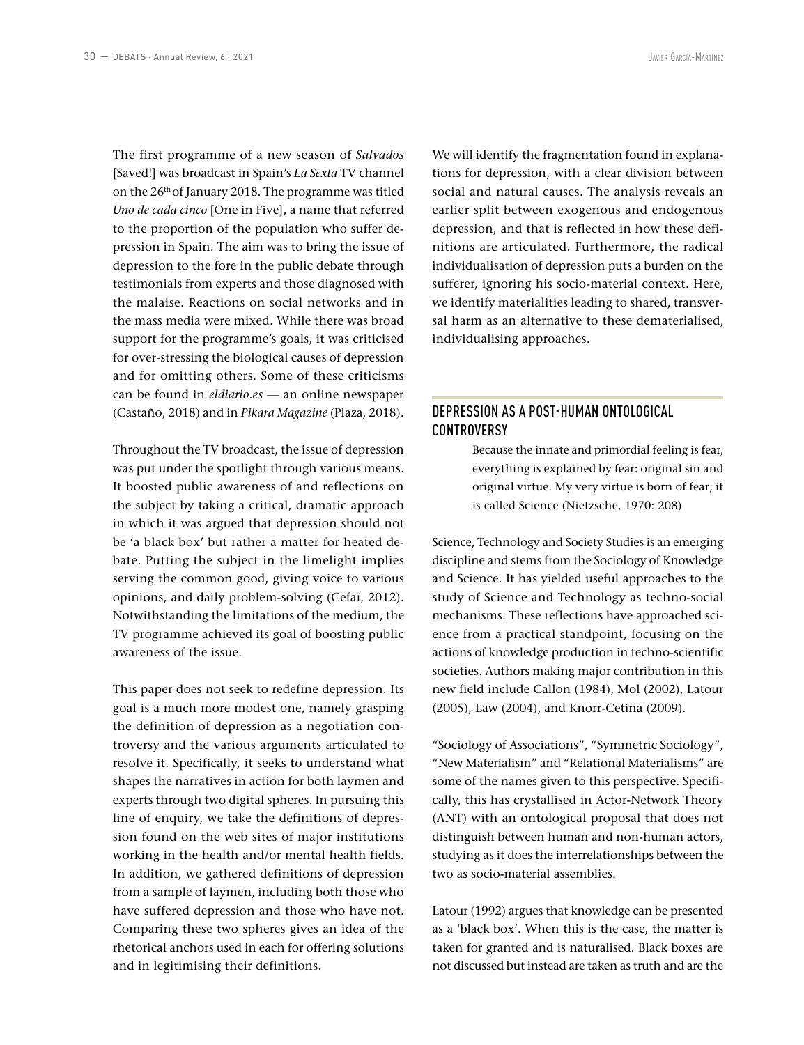The first programme of a new season of *Salvados* [Saved!] was broadcast in Spain's *La Sexta* TV channel on the 26th of January 2018. The programme was titled *Uno de cada cinco* [One in Five], a name that referred to the proportion of the population who suffer depression in Spain. The aim was to bring the issue of depression to the fore in the public debate through testimonials from experts and those diagnosed with the malaise. Reactions on social networks and in the mass media were mixed. While there was broad support for the programme's goals, it was criticised for over-stressing the biological causes of depression and for omitting others. Some of these criticisms can be found in *eldiario.es* — an online newspaper (Castaño, 2018) and in *Pikara Magazine* (Plaza, 2018).

Throughout the TV broadcast, the issue of depression was put under the spotlight through various means. It boosted public awareness of and reflections on the subject by taking a critical, dramatic approach in which it was argued that depression should not be 'a black box' but rather a matter for heated debate. Putting the subject in the limelight implies serving the common good, giving voice to various opinions, and daily problem-solving (Cefaï, 2012). Notwithstanding the limitations of the medium, the TV programme achieved its goal of boosting public awareness of the issue.

This paper does not seek to redefine depression. Its goal is a much more modest one, namely grasping the definition of depression as a negotiation controversy and the various arguments articulated to resolve it. Specifically, it seeks to understand what shapes the narratives in action for both laymen and experts through two digital spheres. In pursuing this line of enquiry, we take the definitions of depression found on the web sites of major institutions working in the health and/or mental health fields. In addition, we gathered definitions of depression from a sample of laymen, including both those who have suffered depression and those who have not. Comparing these two spheres gives an idea of the rhetorical anchors used in each for offering solutions and in legitimising their definitions.

We will identify the fragmentation found in explanations for depression, with a clear division between social and natural causes. The analysis reveals an earlier split between exogenous and endogenous depression, and that is reflected in how these definitions are articulated. Furthermore, the radical individualisation of depression puts a burden on the sufferer, ignoring his socio-material context. Here, we identify materialities leading to shared, transversal harm as an alternative to these dematerialised, individualising approaches.

# DEPRESSION AS A POST-HUMAN ONTOLOGICAL **CONTROVERSY**

Because the innate and primordial feeling is fear, everything is explained by fear: original sin and original virtue. My very virtue is born of fear; it is called Science (Nietzsche, 1970: 208)

Science, Technology and Society Studies is an emerging discipline and stems from the Sociology of Knowledge and Science. It has yielded useful approaches to the study of Science and Technology as techno-social mechanisms. These reflections have approached science from a practical standpoint, focusing on the actions of knowledge production in techno-scientific societies. Authors making major contribution in this new field include Callon (1984), Mol (2002), Latour (2005), Law (2004), and Knorr-Cetina (2009).

"Sociology of Associations", "Symmetric Sociology", "New Materialism" and "Relational Materialisms" are some of the names given to this perspective. Specifically, this has crystallised in Actor-Network Theory (ANT) with an ontological proposal that does not distinguish between human and non-human actors, studying as it does the interrelationships between the two as socio-material assemblies.

Latour (1992) argues that knowledge can be presented as a 'black box'. When this is the case, the matter is taken for granted and is naturalised. Black boxes are not discussed but instead are taken as truth and are the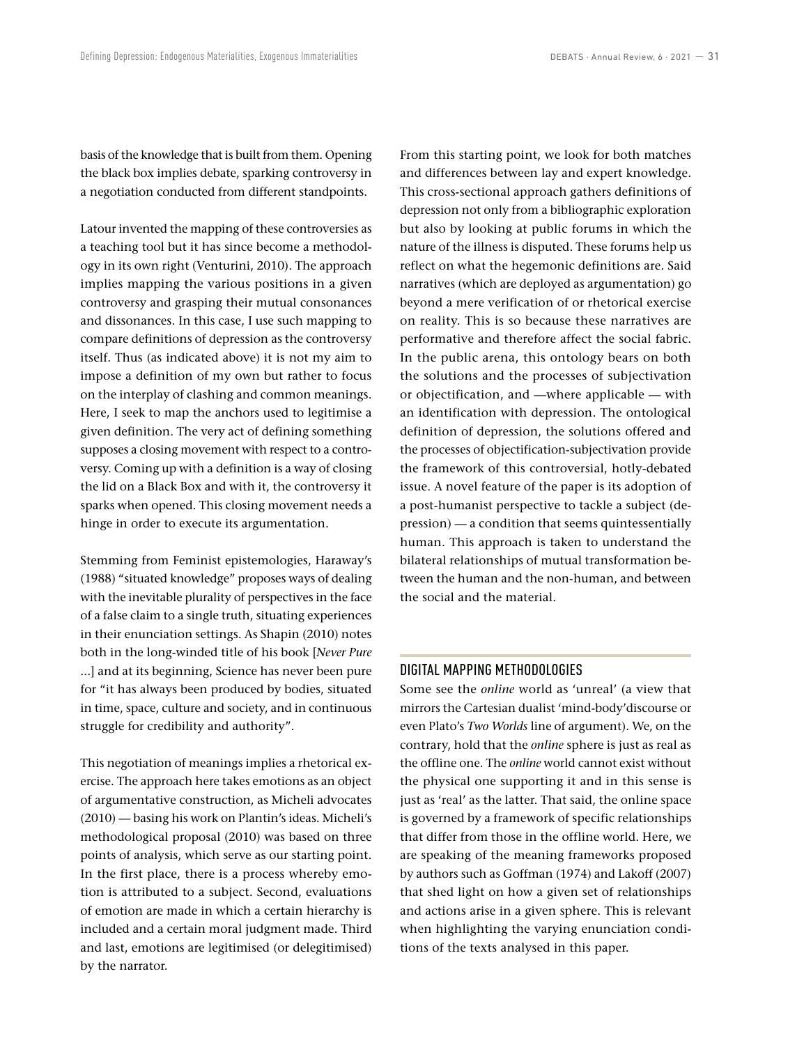basis of the knowledge that is built from them. Opening the black box implies debate, sparking controversy in a negotiation conducted from different standpoints.

Latour invented the mapping of these controversies as a teaching tool but it has since become a methodology in its own right (Venturini, 2010). The approach implies mapping the various positions in a given controversy and grasping their mutual consonances and dissonances. In this case, I use such mapping to compare definitions of depression as the controversy itself. Thus (as indicated above) it is not my aim to impose a definition of my own but rather to focus on the interplay of clashing and common meanings. Here, I seek to map the anchors used to legitimise a given definition. The very act of defining something supposes a closing movement with respect to a controversy. Coming up with a definition is a way of closing the lid on a Black Box and with it, the controversy it sparks when opened. This closing movement needs a hinge in order to execute its argumentation.

Stemming from Feminist epistemologies, Haraway's (1988) "situated knowledge" proposes ways of dealing with the inevitable plurality of perspectives in the face of a false claim to a single truth, situating experiences in their enunciation settings. As Shapin (2010) notes both in the long-winded title of his book [*Never Pure*  ...] and at its beginning, Science has never been pure for "it has always been produced by bodies, situated in time, space, culture and society, and in continuous struggle for credibility and authority".

This negotiation of meanings implies a rhetorical exercise. The approach here takes emotions as an object of argumentative construction, as Micheli advocates (2010) — basing his work on Plantin's ideas. Micheli's methodological proposal (2010) was based on three points of analysis, which serve as our starting point. In the first place, there is a process whereby emotion is attributed to a subject. Second, evaluations of emotion are made in which a certain hierarchy is included and a certain moral judgment made. Third and last, emotions are legitimised (or delegitimised) by the narrator.

From this starting point, we look for both matches and differences between lay and expert knowledge. This cross-sectional approach gathers definitions of depression not only from a bibliographic exploration but also by looking at public forums in which the nature of the illness is disputed. These forums help us reflect on what the hegemonic definitions are. Said narratives (which are deployed as argumentation) go beyond a mere verification of or rhetorical exercise on reality. This is so because these narratives are performative and therefore affect the social fabric. In the public arena, this ontology bears on both the solutions and the processes of subjectivation or objectification, and —where applicable — with an identification with depression. The ontological definition of depression, the solutions offered and the processes of objectification-subjectivation provide the framework of this controversial, hotly-debated issue. A novel feature of the paper is its adoption of a post-humanist perspective to tackle a subject (depression) — a condition that seems quintessentially human. This approach is taken to understand the bilateral relationships of mutual transformation between the human and the non-human, and between the social and the material.

#### DIGITAL MAPPING METHODOLOGIES

Some see the *online* world as 'unreal' (a view that mirrors the Cartesian dualist 'mind-body'discourse or even Plato's *Two Worlds* line of argument). We, on the contrary, hold that the *online* sphere is just as real as the offline one. The *online* world cannot exist without the physical one supporting it and in this sense is just as 'real' as the latter. That said, the online space is governed by a framework of specific relationships that differ from those in the offline world. Here, we are speaking of the meaning frameworks proposed by authors such as Goffman (1974) and Lakoff (2007) that shed light on how a given set of relationships and actions arise in a given sphere. This is relevant when highlighting the varying enunciation conditions of the texts analysed in this paper.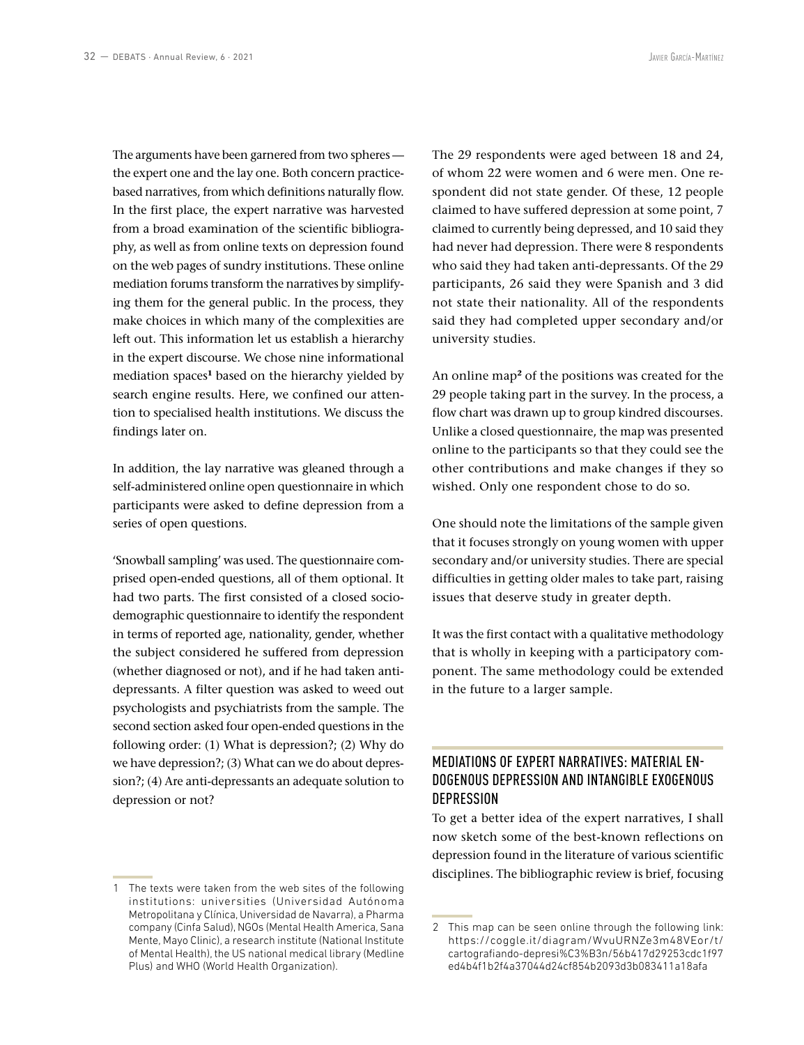The arguments have been garnered from two spheres the expert one and the lay one. Both concern practicebased narratives, from which definitions naturally flow. In the first place, the expert narrative was harvested from a broad examination of the scientific bibliography, as well as from online texts on depression found on the web pages of sundry institutions. These online mediation forums transform the narratives by simplifying them for the general public. In the process, they make choices in which many of the complexities are left out. This information let us establish a hierarchy in the expert discourse. We chose nine informational mediation spaces**<sup>1</sup>** based on the hierarchy yielded by search engine results. Here, we confined our attention to specialised health institutions. We discuss the findings later on.

In addition, the lay narrative was gleaned through a self-administered online open questionnaire in which participants were asked to define depression from a series of open questions.

'Snowball sampling' was used. The questionnaire comprised open-ended questions, all of them optional. It had two parts. The first consisted of a closed sociodemographic questionnaire to identify the respondent in terms of reported age, nationality, gender, whether the subject considered he suffered from depression (whether diagnosed or not), and if he had taken antidepressants. A filter question was asked to weed out psychologists and psychiatrists from the sample. The second section asked four open-ended questions in the following order: (1) What is depression?; (2) Why do we have depression?; (3) What can we do about depression?; (4) Are anti-depressants an adequate solution to depression or not?

The 29 respondents were aged between 18 and 24, of whom 22 were women and 6 were men. One respondent did not state gender. Of these, 12 people claimed to have suffered depression at some point, 7 claimed to currently being depressed, and 10 said they had never had depression. There were 8 respondents who said they had taken anti-depressants. Of the 29 participants, 26 said they were Spanish and 3 did not state their nationality. All of the respondents said they had completed upper secondary and/or university studies.

An online map**<sup>2</sup>** of the positions was created for the 29 people taking part in the survey. In the process, a flow chart was drawn up to group kindred discourses. Unlike a closed questionnaire, the map was presented online to the participants so that they could see the other contributions and make changes if they so wished. Only one respondent chose to do so.

One should note the limitations of the sample given that it focuses strongly on young women with upper secondary and/or university studies. There are special difficulties in getting older males to take part, raising issues that deserve study in greater depth.

It was the first contact with a qualitative methodology that is wholly in keeping with a participatory component. The same methodology could be extended in the future to a larger sample.

# MEDIATIONS OF EXPERT NARRATIVES: MATERIAL EN-DOGENOUS DEPRESSION AND INTANGIBLE EXOGENOUS DEPRESSION

To get a better idea of the expert narratives, I shall now sketch some of the best-known reflections on depression found in the literature of various scientific disciplines. The bibliographic review is brief, focusing

<sup>1</sup> The texts were taken from the web sites of the following institutions: universities (Universidad Autónoma Metropolitana y Clínica, Universidad de Navarra), a Pharma company (Cinfa Salud), NGOs (Mental Health America, Sana Mente, Mayo Clinic), a research institute (National Institute of Mental Health), the US national medical library (Medline Plus) and WHO (World Health Organization).

<sup>2</sup> This map can be seen online through the following link: [https://coggle.it/diagram/WvuURNZe3m48VEor/t/](https://coggle.it/diagram/WvuURNZe3m48VEor/t/cartografiando-depresi%C3%B3n/56b417d29253cdc1f97ed4b4f1b2f4a37044d24cf854b2093d3b083411a18afa) [cartografiando-depresi%C3%B3n/56b417d29253cdc1f97](https://coggle.it/diagram/WvuURNZe3m48VEor/t/cartografiando-depresi%C3%B3n/56b417d29253cdc1f97ed4b4f1b2f4a37044d24cf854b2093d3b083411a18afa) [ed4b4f1b2f4a37044d24cf854b2093d3b083411a18afa](https://coggle.it/diagram/WvuURNZe3m48VEor/t/cartografiando-depresi%C3%B3n/56b417d29253cdc1f97ed4b4f1b2f4a37044d24cf854b2093d3b083411a18afa)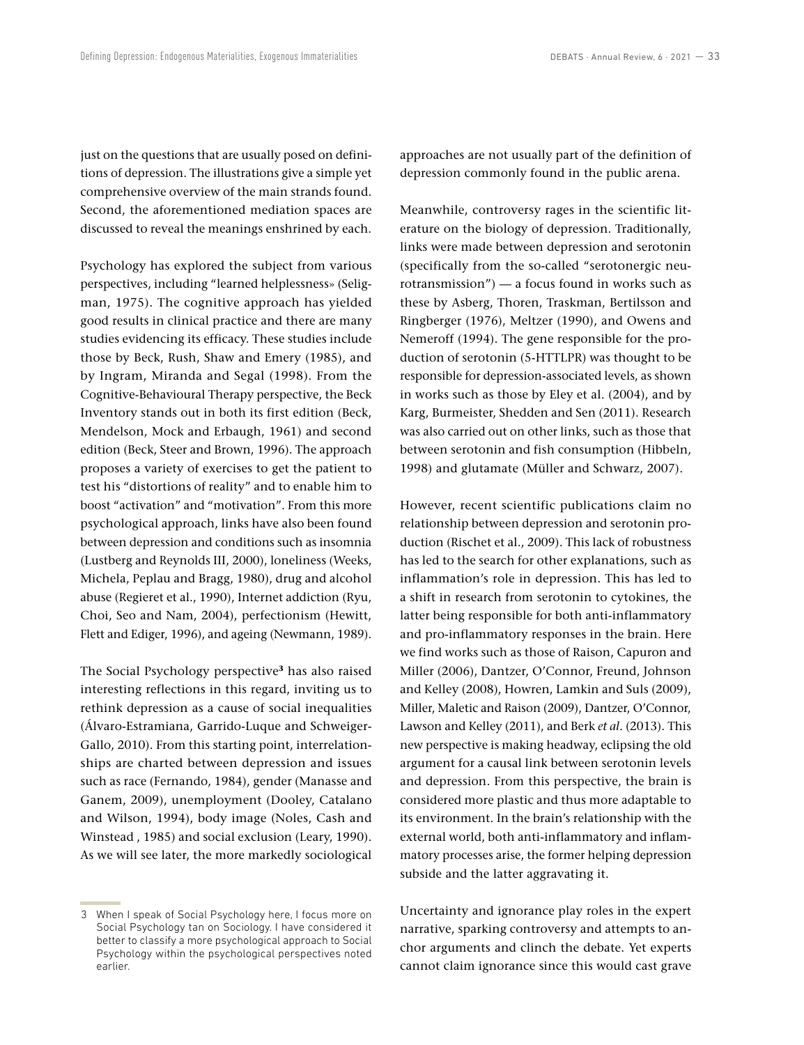just on the questions that are usually posed on definitions of depression. The illustrations give a simple yet comprehensive overview of the main strands found. Second, the aforementioned mediation spaces are discussed to reveal the meanings enshrined by each.

Psychology has explored the subject from various perspectives, including "learned helplessness» (Seligman, 1975). The cognitive approach has yielded good results in clinical practice and there are many studies evidencing its efficacy. These studies include those by Beck, Rush, Shaw and Emery (1985), and by Ingram, Miranda and Segal (1998). From the Cognitive-Behavioural Therapy perspective, the Beck Inventory stands out in both its first edition (Beck, Mendelson, Mock and Erbaugh, 1961) and second edition (Beck, Steer and Brown, 1996). The approach proposes a variety of exercises to get the patient to test his "distortions of reality" and to enable him to boost "activation" and "motivation". From this more psychological approach, links have also been found between depression and conditions such as insomnia (Lustberg and Reynolds III, 2000), loneliness (Weeks, Michela, Peplau and Bragg, 1980), drug and alcohol abuse (Regieret et al., 1990), Internet addiction (Ryu, Choi, Seo and Nam, 2004), perfectionism (Hewitt, Flett and Ediger, 1996), and ageing (Newmann, 1989).

The Social Psychology perspective**<sup>3</sup>** has also raised interesting reflections in this regard, inviting us to rethink depression as a cause of social inequalities (Álvaro-Estramiana, Garrido-Luque and Schweiger-Gallo, 2010). From this starting point, interrelationships are charted between depression and issues such as race (Fernando, 1984), gender (Manasse and Ganem, 2009), unemployment (Dooley, Catalano and Wilson, 1994), body image (Noles, Cash and Winstead , 1985) and social exclusion (Leary, 1990). As we will see later, the more markedly sociological approaches are not usually part of the definition of depression commonly found in the public arena.

Meanwhile, controversy rages in the scientific literature on the biology of depression. Traditionally, links were made between depression and serotonin (specifically from the so-called "serotonergic neurotransmission") — a focus found in works such as these by Asberg, Thoren, Traskman, Bertilsson and Ringberger (1976), Meltzer (1990), and Owens and Nemeroff (1994). The gene responsible for the production of serotonin (5-HTTLPR) was thought to be responsible for depression-associated levels, as shown in works such as those by Eley et al. (2004), and by Karg, Burmeister, Shedden and Sen (2011). Research was also carried out on other links, such as those that between serotonin and fish consumption (Hibbeln, 1998) and glutamate (Müller and Schwarz, 2007).

However, recent scientific publications claim no relationship between depression and serotonin production (Rischet et al., 2009). This lack of robustness has led to the search for other explanations, such as inflammation's role in depression. This has led to a shift in research from serotonin to cytokines, the latter being responsible for both anti-inflammatory and pro-inflammatory responses in the brain. Here we find works such as those of Raison, Capuron and Miller (2006), Dantzer, O'Connor, Freund, Johnson and Kelley (2008), Howren, Lamkin and Suls (2009), Miller, Maletic and Raison (2009), Dantzer, O'Connor, Lawson and Kelley (2011), and Berk *et al.* (2013). This new perspective is making headway, eclipsing the old argument for a causal link between serotonin levels and depression. From this perspective, the brain is considered more plastic and thus more adaptable to its environment. In the brain's relationship with the external world, both anti-inflammatory and inflammatory processes arise, the former helping depression subside and the latter aggravating it.

Uncertainty and ignorance play roles in the expert narrative, sparking controversy and attempts to anchor arguments and clinch the debate. Yet experts cannot claim ignorance since this would cast grave

<sup>3</sup> When I speak of Social Psychology here, I focus more on Social Psychology tan on Sociology. I have considered it better to classify a more psychological approach to Social Psychology within the psychological perspectives noted earlier.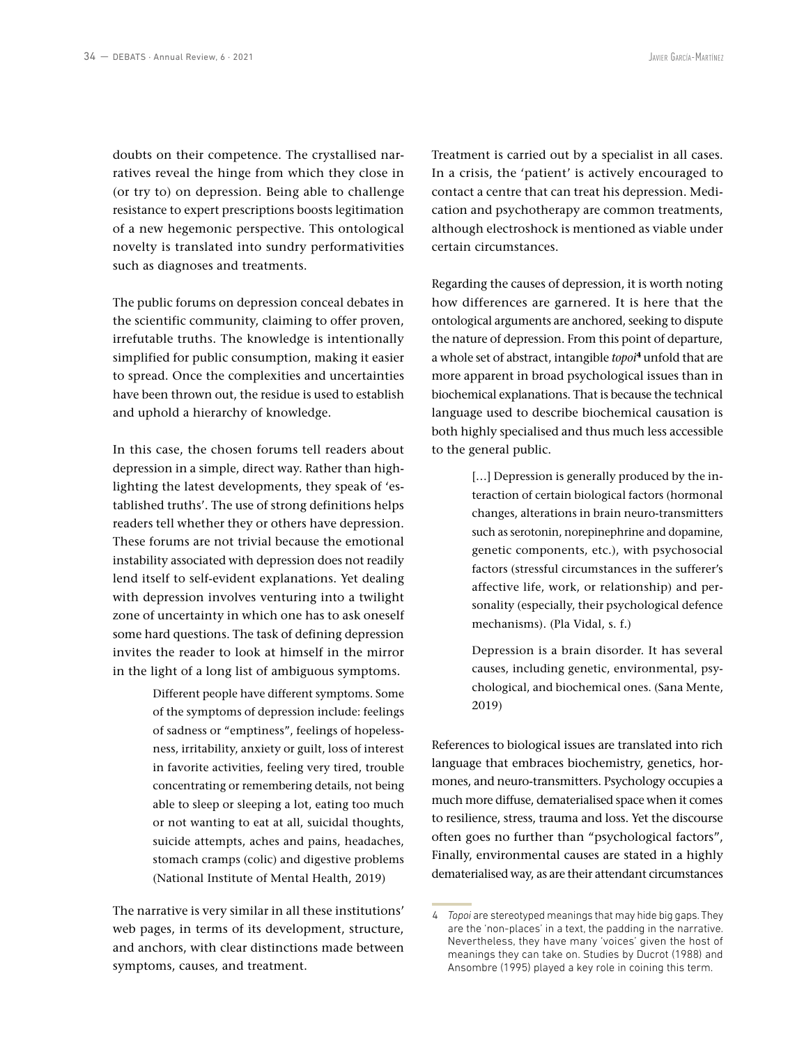doubts on their competence. The crystallised narratives reveal the hinge from which they close in (or try to) on depression. Being able to challenge resistance to expert prescriptions boosts legitimation of a new hegemonic perspective. This ontological novelty is translated into sundry performativities such as diagnoses and treatments.

The public forums on depression conceal debates in the scientific community, claiming to offer proven, irrefutable truths. The knowledge is intentionally simplified for public consumption, making it easier to spread. Once the complexities and uncertainties have been thrown out, the residue is used to establish and uphold a hierarchy of knowledge.

In this case, the chosen forums tell readers about depression in a simple, direct way. Rather than highlighting the latest developments, they speak of 'established truths'. The use of strong definitions helps readers tell whether they or others have depression. These forums are not trivial because the emotional instability associated with depression does not readily lend itself to self-evident explanations. Yet dealing with depression involves venturing into a twilight zone of uncertainty in which one has to ask oneself some hard questions. The task of defining depression invites the reader to look at himself in the mirror in the light of a long list of ambiguous symptoms.

> Different people have different symptoms. Some of the symptoms of depression include: feelings of sadness or "emptiness", feelings of hopelessness, irritability, anxiety or guilt, loss of interest in favorite activities, feeling very tired, trouble concentrating or remembering details, not being able to sleep or sleeping a lot, eating too much or not wanting to eat at all, suicidal thoughts, suicide attempts, aches and pains, headaches, stomach cramps (colic) and digestive problems (National Institute of Mental Health, 2019)

The narrative is very similar in all these institutions' web pages, in terms of its development, structure, and anchors, with clear distinctions made between symptoms, causes, and treatment.

Treatment is carried out by a specialist in all cases. In a crisis, the 'patient' is actively encouraged to contact a centre that can treat his depression. Medication and psychotherapy are common treatments, although electroshock is mentioned as viable under certain circumstances.

Regarding the causes of depression, it is worth noting how differences are garnered. It is here that the ontological arguments are anchored, seeking to dispute the nature of depression. From this point of departure, a whole set of abstract, intangible *topoi***<sup>4</sup>** unfold that are more apparent in broad psychological issues than in biochemical explanations. That is because the technical language used to describe biochemical causation is both highly specialised and thus much less accessible to the general public.

> [...] Depression is generally produced by the interaction of certain biological factors (hormonal changes, alterations in brain neuro-transmitters such as serotonin, norepinephrine and dopamine, genetic components, etc.), with psychosocial factors (stressful circumstances in the sufferer's affective life, work, or relationship) and personality (especially, their psychological defence mechanisms). (Pla Vidal, s. f.)

> Depression is a brain disorder. It has several causes, including genetic, environmental, psychological, and biochemical ones. (Sana Mente, 2019)

References to biological issues are translated into rich language that embraces biochemistry, genetics, hormones, and neuro-transmitters. Psychology occupies a much more diffuse, dematerialised space when it comes to resilience, stress, trauma and loss. Yet the discourse often goes no further than "psychological factors", Finally, environmental causes are stated in a highly dematerialised way, as are their attendant circumstances

<sup>4</sup> *Topoi* are stereotyped meanings that may hide big gaps. They are the 'non-places' in a text, the padding in the narrative. Nevertheless, they have many 'voices' given the host of meanings they can take on. Studies by Ducrot (1988) and Ansombre (1995) played a key role in coining this term.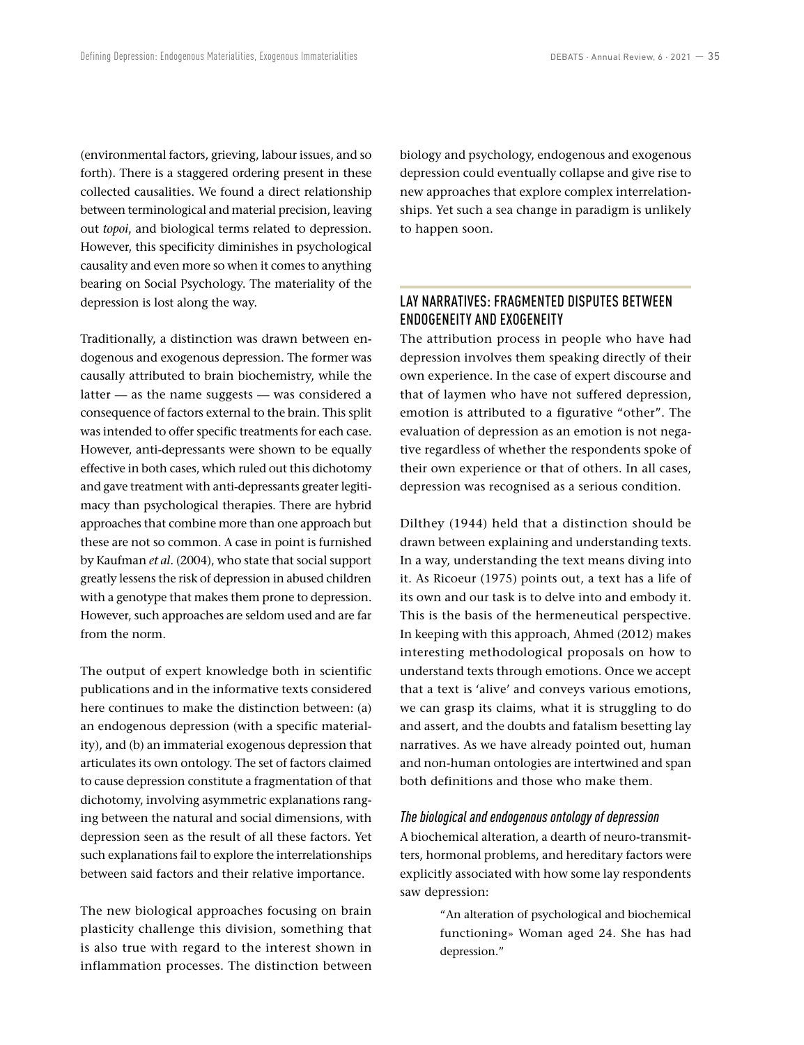(environmental factors, grieving, labour issues, and so forth). There is a staggered ordering present in these collected causalities. We found a direct relationship between terminological and material precision, leaving out *topoi*, and biological terms related to depression. However, this specificity diminishes in psychological causality and even more so when it comes to anything bearing on Social Psychology. The materiality of the depression is lost along the way.

Traditionally, a distinction was drawn between endogenous and exogenous depression. The former was causally attributed to brain biochemistry, while the latter — as the name suggests — was considered a consequence of factors external to the brain. This split was intended to offer specific treatments for each case. However, anti-depressants were shown to be equally effective in both cases, which ruled out this dichotomy and gave treatment with anti-depressants greater legitimacy than psychological therapies. There are hybrid approaches that combine more than one approach but these are not so common. A case in point is furnished by Kaufman *et al*. (2004), who state that social support greatly lessens the risk of depression in abused children with a genotype that makes them prone to depression. However, such approaches are seldom used and are far from the norm.

The output of expert knowledge both in scientific publications and in the informative texts considered here continues to make the distinction between: (a) an endogenous depression (with a specific materiality), and (b) an immaterial exogenous depression that articulates its own ontology. The set of factors claimed to cause depression constitute a fragmentation of that dichotomy, involving asymmetric explanations ranging between the natural and social dimensions, with depression seen as the result of all these factors. Yet such explanations fail to explore the interrelationships between said factors and their relative importance.

The new biological approaches focusing on brain plasticity challenge this division, something that is also true with regard to the interest shown in inflammation processes. The distinction between biology and psychology, endogenous and exogenous depression could eventually collapse and give rise to new approaches that explore complex interrelationships. Yet such a sea change in paradigm is unlikely to happen soon.

# LAY NARRATIVES: FRAGMENTED DISPUTES BETWEEN ENDOGENEITY AND EXOGENEITY

The attribution process in people who have had depression involves them speaking directly of their own experience. In the case of expert discourse and that of laymen who have not suffered depression, emotion is attributed to a figurative "other". The evaluation of depression as an emotion is not negative regardless of whether the respondents spoke of their own experience or that of others. In all cases, depression was recognised as a serious condition.

Dilthey (1944) held that a distinction should be drawn between explaining and understanding texts. In a way, understanding the text means diving into it. As Ricoeur (1975) points out, a text has a life of its own and our task is to delve into and embody it. This is the basis of the hermeneutical perspective. In keeping with this approach, Ahmed (2012) makes interesting methodological proposals on how to understand texts through emotions. Once we accept that a text is 'alive' and conveys various emotions, we can grasp its claims, what it is struggling to do and assert, and the doubts and fatalism besetting lay narratives. As we have already pointed out, human and non-human ontologies are intertwined and span both definitions and those who make them.

#### *The biological and endogenous ontology of depression*

A biochemical alteration, a dearth of neuro-transmitters, hormonal problems, and hereditary factors were explicitly associated with how some lay respondents saw depression:

> "An alteration of psychological and biochemical functioning» Woman aged 24. She has had depression."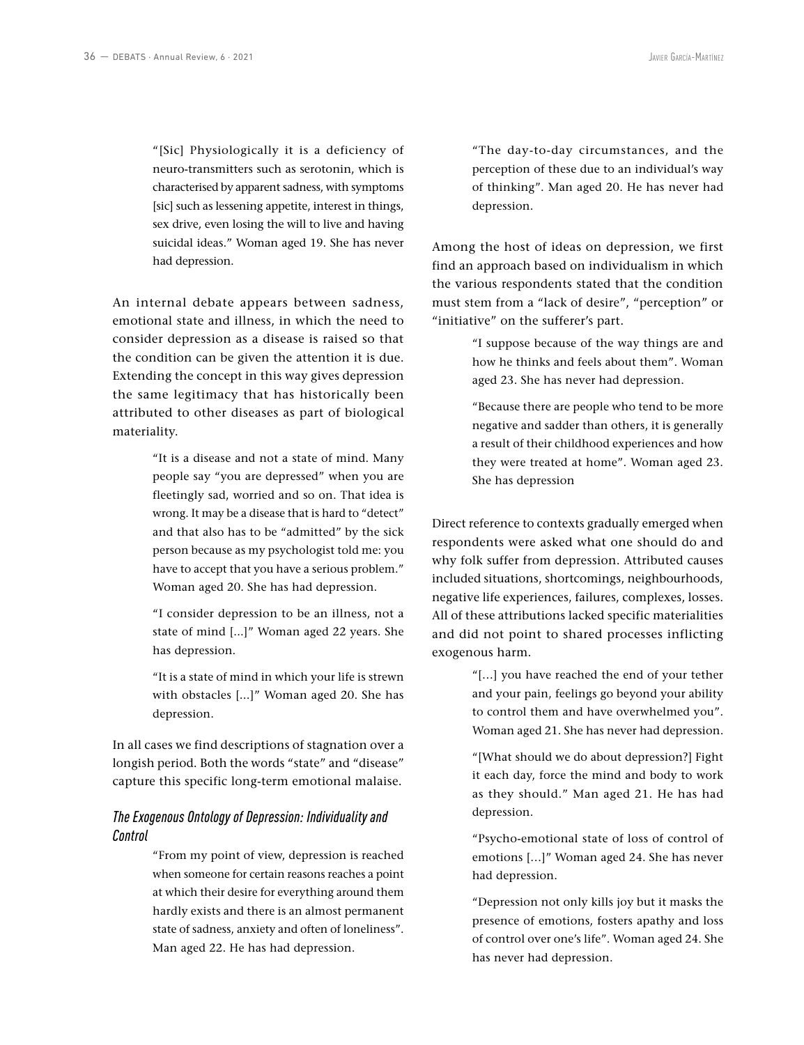"[Sic] Physiologically it is a deficiency of neuro-transmitters such as serotonin, which is characterised by apparent sadness, with symptoms [sic] such as lessening appetite, interest in things, sex drive, even losing the will to live and having suicidal ideas." Woman aged 19. She has never had depression.

An internal debate appears between sadness, emotional state and illness, in which the need to consider depression as a disease is raised so that the condition can be given the attention it is due. Extending the concept in this way gives depression the same legitimacy that has historically been attributed to other diseases as part of biological materiality.

> "It is a disease and not a state of mind. Many people say "you are depressed" when you are fleetingly sad, worried and so on. That idea is wrong. It may be a disease that is hard to "detect" and that also has to be "admitted" by the sick person because as my psychologist told me: you have to accept that you have a serious problem." Woman aged 20. She has had depression.

> "I consider depression to be an illness, not a state of mind [...]" Woman aged 22 years. She has depression.

> "It is a state of mind in which your life is strewn with obstacles [...]" Woman aged 20. She has depression.

In all cases we find descriptions of stagnation over a longish period. Both the words "state" and "disease" capture this specific long-term emotional malaise.

## *The Exogenous Ontology of Depression: Individuality and Control*

"From my point of view, depression is reached when someone for certain reasons reaches a point at which their desire for everything around them hardly exists and there is an almost permanent state of sadness, anxiety and often of loneliness". Man aged 22. He has had depression.

"The day-to-day circumstances, and the perception of these due to an individual's way of thinking". Man aged 20. He has never had depression.

Among the host of ideas on depression, we first find an approach based on individualism in which the various respondents stated that the condition must stem from a "lack of desire", "perception" or "initiative" on the sufferer's part.

> "I suppose because of the way things are and how he thinks and feels about them". Woman aged 23. She has never had depression.

> "Because there are people who tend to be more negative and sadder than others, it is generally a result of their childhood experiences and how they were treated at home". Woman aged 23. She has depression

Direct reference to contexts gradually emerged when respondents were asked what one should do and why folk suffer from depression. Attributed causes included situations, shortcomings, neighbourhoods, negative life experiences, failures, complexes, losses. All of these attributions lacked specific materialities and did not point to shared processes inflicting exogenous harm.

> "[…] you have reached the end of your tether and your pain, feelings go beyond your ability to control them and have overwhelmed you". Woman aged 21. She has never had depression.

> "[What should we do about depression?] Fight it each day, force the mind and body to work as they should." Man aged 21. He has had depression.

> "Psycho-emotional state of loss of control of emotions […]" Woman aged 24. She has never had depression.

> "Depression not only kills joy but it masks the presence of emotions, fosters apathy and loss of control over one's life". Woman aged 24. She has never had depression.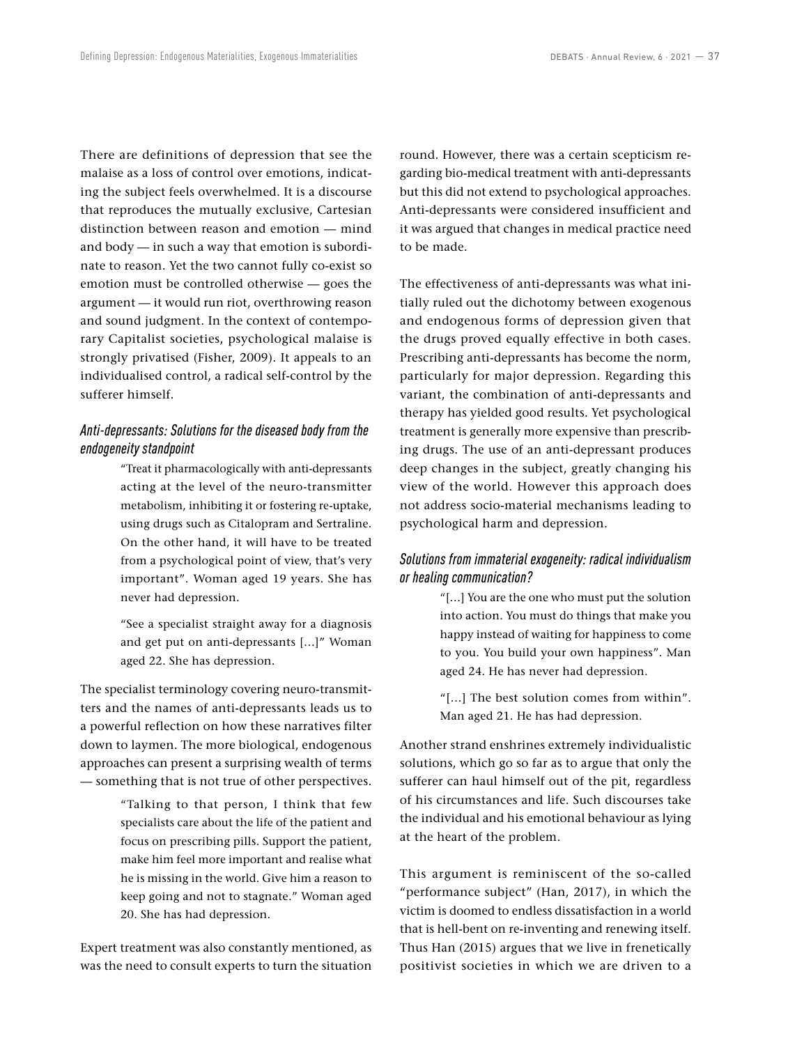There are definitions of depression that see the malaise as a loss of control over emotions, indicating the subject feels overwhelmed. It is a discourse that reproduces the mutually exclusive, Cartesian distinction between reason and emotion — mind and body — in such a way that emotion is subordinate to reason. Yet the two cannot fully co-exist so emotion must be controlled otherwise — goes the argument — it would run riot, overthrowing reason and sound judgment. In the context of contemporary Capitalist societies, psychological malaise is strongly privatised (Fisher, 2009). It appeals to an individualised control, a radical self-control by the sufferer himself.

## *Anti-depressants: Solutions for the diseased body from the endogeneity standpoint*

"Treat it pharmacologically with anti-depressants acting at the level of the neuro-transmitter metabolism, inhibiting it or fostering re-uptake, using drugs such as Citalopram and Sertraline. On the other hand, it will have to be treated from a psychological point of view, that's very important". Woman aged 19 years. She has never had depression.

"See a specialist straight away for a diagnosis and get put on anti-depressants […]" Woman aged 22. She has depression.

The specialist terminology covering neuro-transmitters and the names of anti-depressants leads us to a powerful reflection on how these narratives filter down to laymen. The more biological, endogenous approaches can present a surprising wealth of terms — something that is not true of other perspectives.

> "Talking to that person, I think that few specialists care about the life of the patient and focus on prescribing pills. Support the patient, make him feel more important and realise what he is missing in the world. Give him a reason to keep going and not to stagnate." Woman aged 20. She has had depression.

Expert treatment was also constantly mentioned, as was the need to consult experts to turn the situation round. However, there was a certain scepticism regarding bio-medical treatment with anti-depressants but this did not extend to psychological approaches. Anti-depressants were considered insufficient and it was argued that changes in medical practice need to be made.

The effectiveness of anti-depressants was what initially ruled out the dichotomy between exogenous and endogenous forms of depression given that the drugs proved equally effective in both cases. Prescribing anti-depressants has become the norm, particularly for major depression. Regarding this variant, the combination of anti-depressants and therapy has yielded good results. Yet psychological treatment is generally more expensive than prescribing drugs. The use of an anti-depressant produces deep changes in the subject, greatly changing his view of the world. However this approach does not address socio-material mechanisms leading to psychological harm and depression.

## *Solutions from immaterial exogeneity: radical individualism or healing communication?*

"[…] You are the one who must put the solution into action. You must do things that make you happy instead of waiting for happiness to come to you. You build your own happiness". Man aged 24. He has never had depression.

"[…] The best solution comes from within". Man aged 21. He has had depression.

Another strand enshrines extremely individualistic solutions, which go so far as to argue that only the sufferer can haul himself out of the pit, regardless of his circumstances and life. Such discourses take the individual and his emotional behaviour as lying at the heart of the problem.

This argument is reminiscent of the so-called "performance subject" (Han, 2017), in which the victim is doomed to endless dissatisfaction in a world that is hell-bent on re-inventing and renewing itself. Thus Han (2015) argues that we live in frenetically positivist societies in which we are driven to a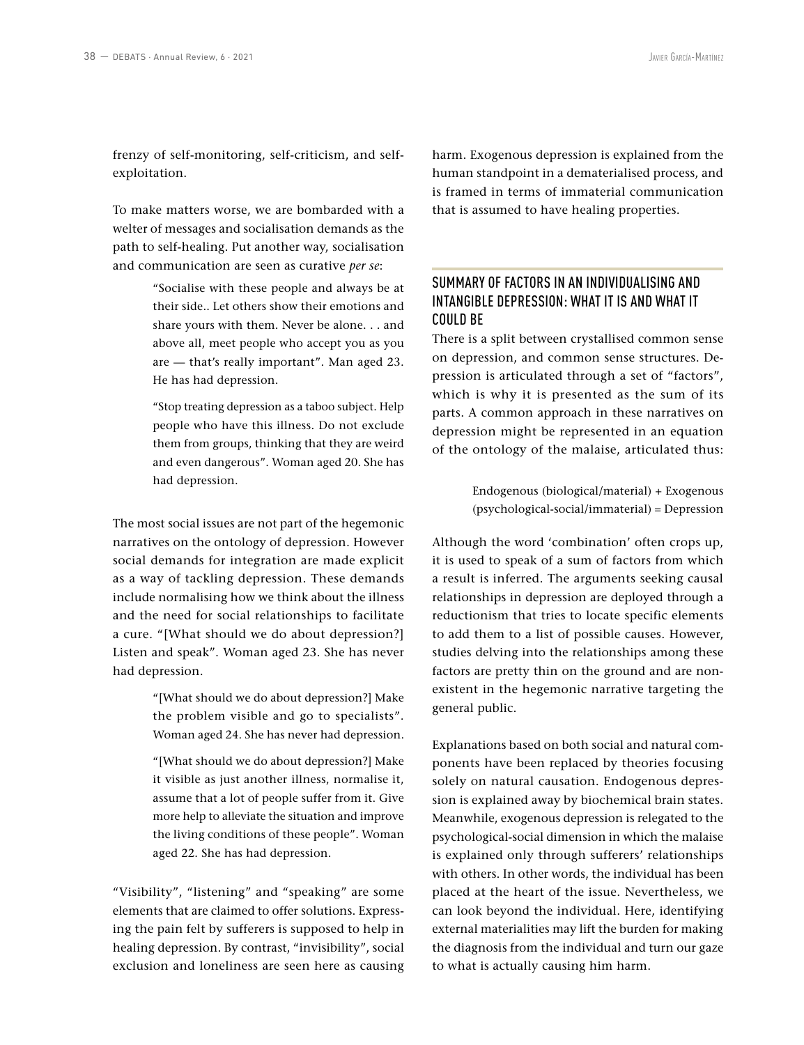frenzy of self-monitoring, self-criticism, and selfexploitation.

To make matters worse, we are bombarded with a welter of messages and socialisation demands as the path to self-healing. Put another way, socialisation and communication are seen as curative *per se*:

> "Socialise with these people and always be at their side.. Let others show their emotions and share yours with them. Never be alone. . . and above all, meet people who accept you as you are — that's really important". Man aged 23. He has had depression.

> "Stop treating depression as a taboo subject. Help people who have this illness. Do not exclude them from groups, thinking that they are weird and even dangerous". Woman aged 20. She has had depression.

The most social issues are not part of the hegemonic narratives on the ontology of depression. However social demands for integration are made explicit as a way of tackling depression. These demands include normalising how we think about the illness and the need for social relationships to facilitate a cure. "[What should we do about depression?] Listen and speak". Woman aged 23. She has never had depression.

> "[What should we do about depression?] Make the problem visible and go to specialists". Woman aged 24. She has never had depression.

> "[What should we do about depression?] Make it visible as just another illness, normalise it, assume that a lot of people suffer from it. Give more help to alleviate the situation and improve the living conditions of these people". Woman aged 22. She has had depression.

"Visibility", "listening" and "speaking" are some elements that are claimed to offer solutions. Expressing the pain felt by sufferers is supposed to help in healing depression. By contrast, "invisibility", social exclusion and loneliness are seen here as causing harm. Exogenous depression is explained from the human standpoint in a dematerialised process, and is framed in terms of immaterial communication that is assumed to have healing properties.

# SUMMARY OF FACTORS IN AN INDIVIDUALISING AND INTANGIBLE DEPRESSION: WHAT IT IS AND WHAT IT COULD BE

There is a split between crystallised common sense on depression, and common sense structures. Depression is articulated through a set of "factors", which is why it is presented as the sum of its parts. A common approach in these narratives on depression might be represented in an equation of the ontology of the malaise, articulated thus:

> Endogenous (biological/material) + Exogenous (psychological-social/immaterial) = Depression

Although the word 'combination' often crops up, it is used to speak of a sum of factors from which a result is inferred. The arguments seeking causal relationships in depression are deployed through a reductionism that tries to locate specific elements to add them to a list of possible causes. However, studies delving into the relationships among these factors are pretty thin on the ground and are nonexistent in the hegemonic narrative targeting the general public.

Explanations based on both social and natural components have been replaced by theories focusing solely on natural causation. Endogenous depression is explained away by biochemical brain states. Meanwhile, exogenous depression is relegated to the psychological-social dimension in which the malaise is explained only through sufferers' relationships with others. In other words, the individual has been placed at the heart of the issue. Nevertheless, we can look beyond the individual. Here, identifying external materialities may lift the burden for making the diagnosis from the individual and turn our gaze to what is actually causing him harm.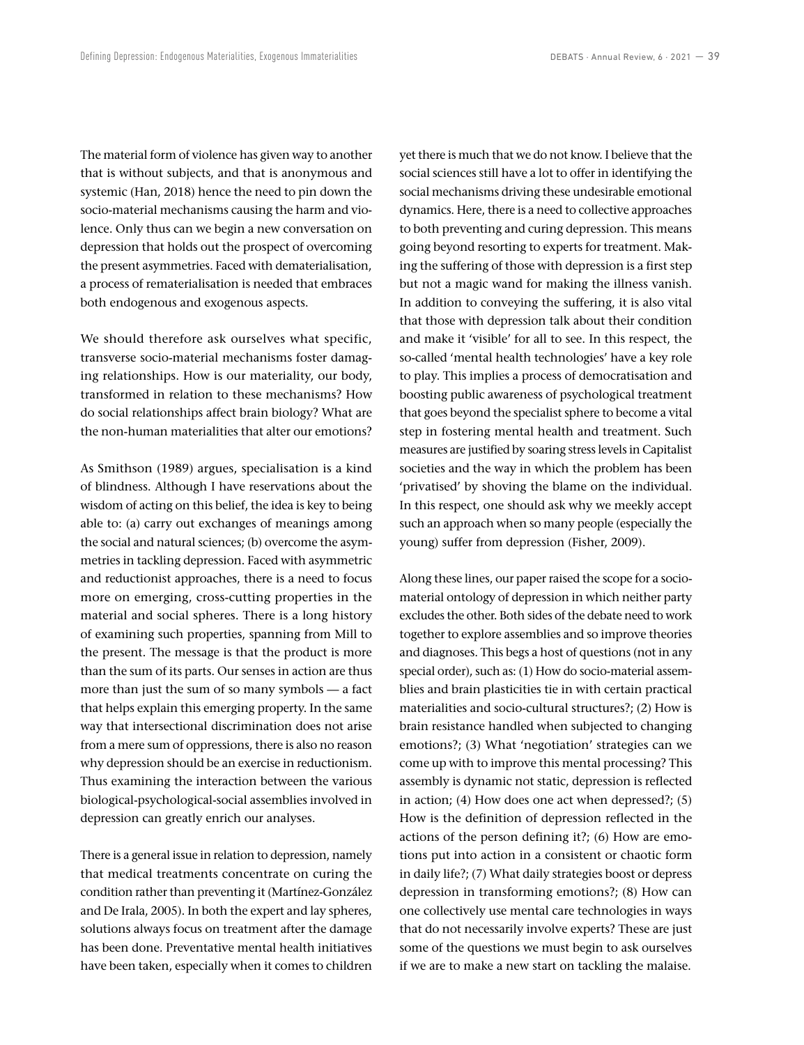The material form of violence has given way to another that is without subjects, and that is anonymous and systemic (Han, 2018) hence the need to pin down the socio-material mechanisms causing the harm and violence. Only thus can we begin a new conversation on depression that holds out the prospect of overcoming the present asymmetries. Faced with dematerialisation, a process of rematerialisation is needed that embraces both endogenous and exogenous aspects.

We should therefore ask ourselves what specific, transverse socio-material mechanisms foster damaging relationships. How is our materiality, our body, transformed in relation to these mechanisms? How do social relationships affect brain biology? What are the non-human materialities that alter our emotions?

As Smithson (1989) argues, specialisation is a kind of blindness. Although I have reservations about the wisdom of acting on this belief, the idea is key to being able to: (a) carry out exchanges of meanings among the social and natural sciences; (b) overcome the asymmetries in tackling depression. Faced with asymmetric and reductionist approaches, there is a need to focus more on emerging, cross-cutting properties in the material and social spheres. There is a long history of examining such properties, spanning from Mill to the present. The message is that the product is more than the sum of its parts. Our senses in action are thus more than just the sum of so many symbols — a fact that helps explain this emerging property. In the same way that intersectional discrimination does not arise from a mere sum of oppressions, there is also no reason why depression should be an exercise in reductionism. Thus examining the interaction between the various biological-psychological-social assemblies involved in depression can greatly enrich our analyses.

There is a general issue in relation to depression, namely that medical treatments concentrate on curing the condition rather than preventing it (Martínez-González and De Irala, 2005). In both the expert and lay spheres, solutions always focus on treatment after the damage has been done. Preventative mental health initiatives have been taken, especially when it comes to children yet there is much that we do not know. I believe that the social sciences still have a lot to offer in identifying the social mechanisms driving these undesirable emotional dynamics. Here, there is a need to collective approaches to both preventing and curing depression. This means going beyond resorting to experts for treatment. Making the suffering of those with depression is a first step but not a magic wand for making the illness vanish. In addition to conveying the suffering, it is also vital that those with depression talk about their condition and make it 'visible' for all to see. In this respect, the so-called 'mental health technologies' have a key role to play. This implies a process of democratisation and boosting public awareness of psychological treatment that goes beyond the specialist sphere to become a vital step in fostering mental health and treatment. Such measures are justified by soaring stress levels in Capitalist societies and the way in which the problem has been 'privatised' by shoving the blame on the individual. In this respect, one should ask why we meekly accept such an approach when so many people (especially the young) suffer from depression (Fisher, 2009).

Along these lines, our paper raised the scope for a sociomaterial ontology of depression in which neither party excludes the other. Both sides of the debate need to work together to explore assemblies and so improve theories and diagnoses. This begs a host of questions (not in any special order), such as: (1) How do socio-material assemblies and brain plasticities tie in with certain practical materialities and socio-cultural structures?; (2) How is brain resistance handled when subjected to changing emotions?; (3) What 'negotiation' strategies can we come up with to improve this mental processing? This assembly is dynamic not static, depression is reflected in action; (4) How does one act when depressed?; (5) How is the definition of depression reflected in the actions of the person defining it?; (6) How are emotions put into action in a consistent or chaotic form in daily life?; (7) What daily strategies boost or depress depression in transforming emotions?; (8) How can one collectively use mental care technologies in ways that do not necessarily involve experts? These are just some of the questions we must begin to ask ourselves if we are to make a new start on tackling the malaise.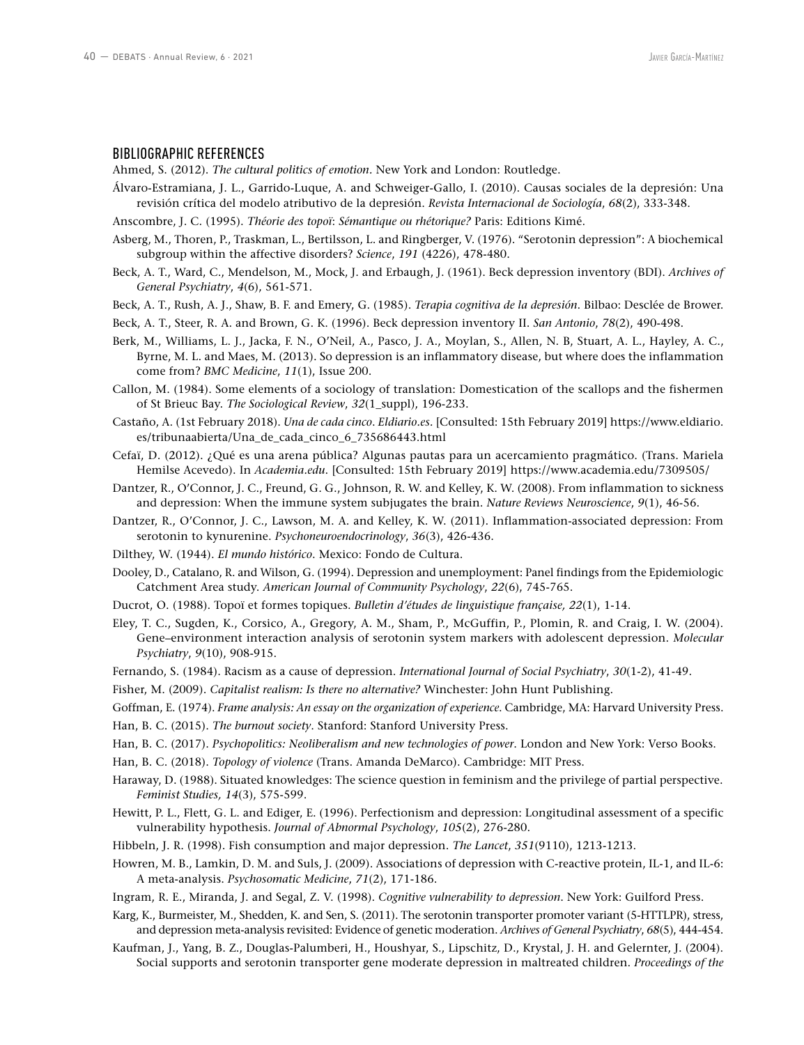#### BIBLIOGRAPHIC REFERENCES

Ahmed, S. (2012). *The cultural politics of emotion.* New York and London: Routledge.

- Álvaro-Estramiana, J. L., Garrido-Luque, A. and Schweiger-Gallo, I. (2010). Causas sociales de la depresión: Una revisión crítica del modelo atributivo de la depresión. *Revista Internacional de Sociología*, *68*(2), 333-348.
- Anscombre, J. C. (1995). *Théorie des topoï*: *Sémantique ou rhétorique?* Paris: Editions Kimé.
- Asberg, M., Thoren, P., Traskman, L., Bertilsson, L. and Ringberger, V. (1976). "Serotonin depression": A biochemical subgroup within the affective disorders? *Science*, *191* (4226), 478-480.
- Beck, A. T., Ward, C., Mendelson, M., Mock, J. and Erbaugh, J. (1961). Beck depression inventory (BDI). *Archives of General Psychiatry*, *4*(6), 561-571.
- Beck, A. T., Rush, A. J., Shaw, B. F. and Emery, G. (1985). *Terapia cognitiva de la depresión*. Bilbao: Desclée de Brower.
- Beck, A. T., Steer, R. A. and Brown, G. K. (1996). Beck depression inventory II. *San Antonio*, *78*(2), 490-498.
- Berk, M., Williams, L. J., Jacka, F. N., O'Neil, A., Pasco, J. A., Moylan, S., Allen, N. B, Stuart, A. L., Hayley, A. C., Byrne, M. L. and Maes, M. (2013). So depression is an inflammatory disease, but where does the inflammation come from? *BMC Medicine*, *11*(1), Issue 200.
- Callon, M. (1984). Some elements of a sociology of translation: Domestication of the scallops and the fishermen of St Brieuc Bay. *The Sociological Review*, *32*(1\_suppl), 196-233.
- Castaño, A. (1st February 2018). *Una de cada cinco*. *Eldiario.es.* [Consulted: 15th February 2019] [https://www.eldiario.](https://www.eldiario.es/tribunaabierta/Una_de_cada_cinco_6_735686443.html) [es/tribunaabierta/Una\\_de\\_cada\\_cinco\\_6\\_735686443.html](https://www.eldiario.es/tribunaabierta/Una_de_cada_cinco_6_735686443.html)
- Cefaï, D. (2012). ¿Qué es una arena pública? Algunas pautas para un acercamiento pragmático. (Trans. Mariela Hemilse Acevedo). In *Academia.edu*. [Consulted: 15th February 2019] <https://www.academia.edu/7309505/>
- Dantzer, R., O'Connor, J. C., Freund, G. G., Johnson, R. W. and Kelley, K. W. (2008). From inflammation to sickness and depression: When the immune system subjugates the brain. *Nature Reviews Neuroscience*, *9*(1), 46-56.
- Dantzer, R., O'Connor, J. C., Lawson, M. A. and Kelley, K. W. (2011). Inflammation-associated depression: From serotonin to kynurenine. *Psychoneuroendocrinology*, *36*(3), 426-436.
- Dilthey, W. (1944). *El mundo histórico*. Mexico: Fondo de Cultura.
- Dooley, D., Catalano, R. and Wilson, G. (1994). Depression and unemployment: Panel findings from the Epidemiologic Catchment Area study. *American Journal of Community Psychology*, *22*(6), 745-765.
- Ducrot, O. (1988). Topoï et formes topiques. *Bulletin d'études de linguistique française, 22*(1), 1-14.
- Eley, T. C., Sugden, K., Corsico, A., Gregory, A. M., Sham, P., McGuffin, P., Plomin, R. and Craig, I. W. (2004). Gene–environment interaction analysis of serotonin system markers with adolescent depression. *Molecular Psychiatry*, *9*(10), 908-915.
- Fernando, S. (1984). Racism as a cause of depression. *International Journal of Social Psychiatry*, *30*(1-2), 41-49.
- Fisher, M. (2009). *Capitalist realism: Is there no alternative?* Winchester: John Hunt Publishing.
- Goffman, E. (1974). *Frame analysis: An essay on the organization of experience*. Cambridge, MA: Harvard University Press.
- Han, B. C. (2015). *The burnout society*. Stanford: Stanford University Press.
- Han, B. C. (2017). *Psychopolitics: Neoliberalism and new technologies of power*. London and New York: Verso Books.
- Han, B. C. (2018). *Topology of violence* (Trans. Amanda DeMarco). Cambridge: MIT Press.
- Haraway, D. (1988). Situated knowledges: The science question in feminism and the privilege of partial perspective. *Feminist Studies, 14*(3), 575-599.
- Hewitt, P. L., Flett, G. L. and Ediger, E. (1996). Perfectionism and depression: Longitudinal assessment of a specific vulnerability hypothesis. *Journal of Abnormal Psychology*, *105*(2), 276-280.
- Hibbeln, J. R. (1998). Fish consumption and major depression. *The Lancet*, *351*(9110), 1213-1213.
- Howren, M. B., Lamkin, D. M. and Suls, J. (2009). Associations of depression with C-reactive protein, IL-1, and IL-6: A meta-analysis. *Psychosomatic Medicine*, *71*(2), 171-186.
- Ingram, R. E., Miranda, J. and Segal, Z. V. (1998). *Cognitive vulnerability to depression*. New York: Guilford Press.
- Karg, K., Burmeister, M., Shedden, K. and Sen, S. (2011). The serotonin transporter promoter variant (5-HTTLPR), stress, and depression meta-analysis revisited: Evidence of genetic moderation. *Archives of General Psychiatry*, *68*(5), 444-454.
- Kaufman, J., Yang, B. Z., Douglas-Palumberi, H., Houshyar, S., Lipschitz, D., Krystal, J. H. and Gelernter, J. (2004). Social supports and serotonin transporter gene moderate depression in maltreated children. *Proceedings of the*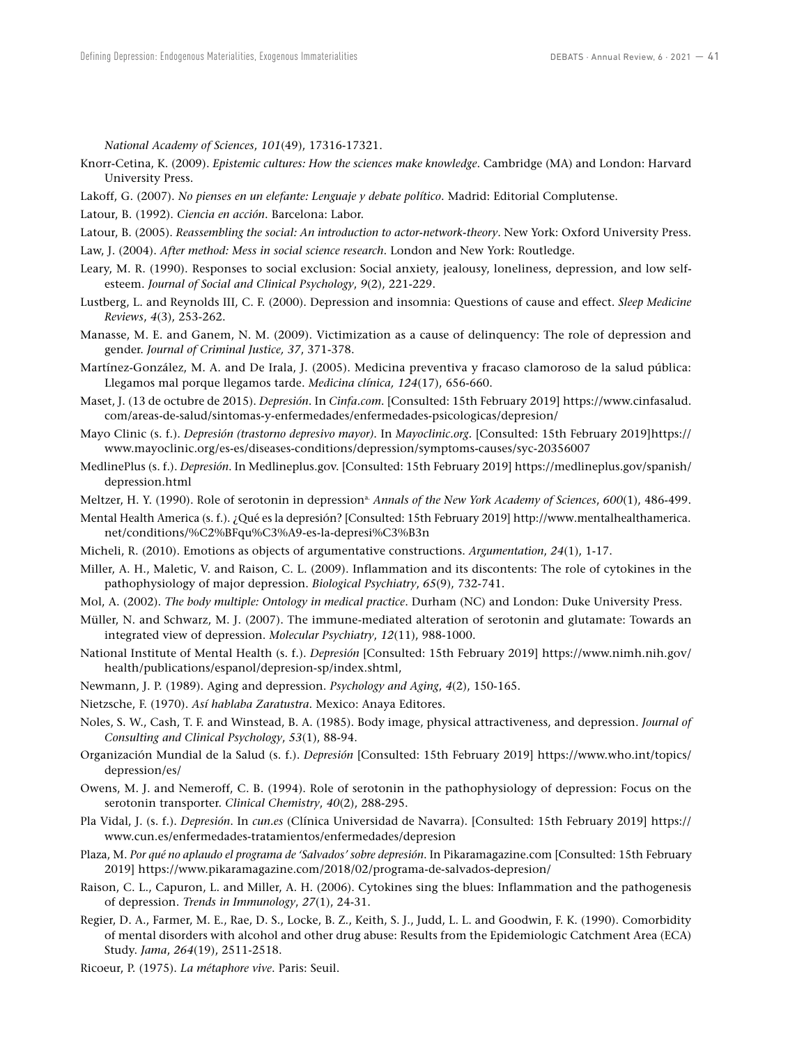*National Academy of Sciences*, *101*(49), 17316-17321.

Knorr-Cetina, K. (2009). *Epistemic cultures: How the sciences make knowledge*. Cambridge (MA) and London: Harvard University Press.

Lakoff, G. (2007). *No pienses en un elefante: Lenguaje y debate político*. Madrid: Editorial Complutense.

Latour, B. (1992). *Ciencia en acción*. Barcelona: Labor.

Latour, B. (2005). *Reassembling the social: An introduction to actor-network-theory*. New York: Oxford University Press.

Law, J. (2004). *After method: Mess in social science research*. London and New York: Routledge.

- Leary, M. R. (1990). Responses to social exclusion: Social anxiety, jealousy, loneliness, depression, and low selfesteem. *Journal of Social and Clinical Psychology*, *9*(2), 221-229.
- Lustberg, L. and Reynolds III, C. F. (2000). Depression and insomnia: Questions of cause and effect. *Sleep Medicine Reviews*, *4*(3), 253-262.
- Manasse, M. E. and Ganem, N. M. (2009). Victimization as a cause of delinquency: The role of depression and gender. *Journal of Criminal Justice, 37*, 371-378.
- Martínez-González, M. A. and De Irala, J. (2005). Medicina preventiva y fracaso clamoroso de la salud pública: Llegamos mal porque llegamos tarde. *Medicina clínica, 124*(17), 656-660.
- Maset, J. (13 de octubre de 2015). *Depresión*. In *Cinfa.com.* [Consulted: 15th February 2019] [https://www.cinfasalud.](https://www.cinfasalud.com/areas-de-salud/sintomas-y-enfermedades/enfermedades-psicologicas/depresion/) [com/areas-de-salud/sintomas-y-enfermedades/enfermedades-psicologicas/depresion/](https://www.cinfasalud.com/areas-de-salud/sintomas-y-enfermedades/enfermedades-psicologicas/depresion/)
- Mayo Clinic (s. f.). *Depresión (trastorno depresivo mayor)*. In *Mayoclinic.org.* [Consulted: 15th February 2019[\]https://](https://www.mayoclinic.org/es-es/diseases-conditions/depression/symptoms-causes/syc-20356007) [www.mayoclinic.org/es-es/diseases-conditions/depression/symptoms-causes/syc-20356007](https://www.mayoclinic.org/es-es/diseases-conditions/depression/symptoms-causes/syc-20356007)
- MedlinePlus (s. f.). *Depresión*. In Medlineplus.gov. [Consulted: 15th February 2019] [https://medlineplus.gov/spanish/](https://medlineplus.gov/spanish/depression.html) [depression.html](https://medlineplus.gov/spanish/depression.html)
- Meltzer, H. Y. (1990). Role of serotonin in depression<sup>a.</sup> Annals of the New York Academy of Sciences, 600(1), 486-499.
- Mental Health America (s. f.). ¿Qué es la depresión? [Consulted: 15th February 2019] [http://www.mentalhealthamerica.](http://www.mentalhealthamerica.net/conditions/%C2%BFqu%C3%A9-es-la-depresi%C3%B3n) [net/conditions/%C2%BFqu%C3%A9-es-la-depresi%C3%B3n](http://www.mentalhealthamerica.net/conditions/%C2%BFqu%C3%A9-es-la-depresi%C3%B3n)
- Micheli, R. (2010). Emotions as objects of argumentative constructions. *Argumentation*, *24*(1), 1-17.
- Miller, A. H., Maletic, V. and Raison, C. L. (2009). Inflammation and its discontents: The role of cytokines in the pathophysiology of major depression. *Biological Psychiatry*, *65*(9), 732-741.
- Mol, A. (2002). *The body multiple: Ontology in medical practice*. Durham (NC) and London: Duke University Press.
- Müller, N. and Schwarz, M. J. (2007). The immune-mediated alteration of serotonin and glutamate: Towards an integrated view of depression. *Molecular Psychiatry*, *12*(11), 988-1000.
- National Institute of Mental Health (s. f.). *Depresión* [Consulted: 15th February 2019] [https://www.nimh.nih.gov/](https://www.nimh.nih.gov/health/publications/espanol/depresion-sp/index.shtml) [health/publications/espanol/depresion-sp/index.shtml](https://www.nimh.nih.gov/health/publications/espanol/depresion-sp/index.shtml),
- Newmann, J. P. (1989). Aging and depression. *Psychology and Aging*, *4*(2), 150-165.
- Nietzsche, F. (1970). *Así hablaba Zaratustra*. Mexico: Anaya Editores.
- Noles, S. W., Cash, T. F. and Winstead, B. A. (1985). Body image, physical attractiveness, and depression. *Journal of Consulting and Clinical Psychology*, *53*(1), 88-94.
- Organización Mundial de la Salud (s. f.). *Depresión* [Consulted: 15th February 2019] [https://www.who.int/topics/](https://www.who.int/topics/depression/es/) [depression/es/](https://www.who.int/topics/depression/es/)
- Owens, M. J. and Nemeroff, C. B. (1994). Role of serotonin in the pathophysiology of depression: Focus on the serotonin transporter. *Clinical Chemistry*, *40*(2), 288-295.
- Pla Vidal, J. (s. f.). *Depresión*. In *cun.es* (Clínica Universidad de Navarra). [Consulted: 15th February 2019] [https://](https://www.cun.es/enfermedades-tratamientos/enfermedades/depresion) [www.cun.es/enfermedades-tratamientos/enfermedades/depresion](https://www.cun.es/enfermedades-tratamientos/enfermedades/depresion)
- Plaza, M. *Por qué no aplaudo el programa de 'Salvados' sobre depresión*. In Pikaramagazine.com [Consulted: 15th February 2019] <https://www.pikaramagazine.com/2018/02/programa-de-salvados-depresion/>
- Raison, C. L., Capuron, L. and Miller, A. H. (2006). Cytokines sing the blues: Inflammation and the pathogenesis of depression. *Trends in Immunology*, *27*(1), 24-31.
- Regier, D. A., Farmer, M. E., Rae, D. S., Locke, B. Z., Keith, S. J., Judd, L. L. and Goodwin, F. K. (1990). Comorbidity of mental disorders with alcohol and other drug abuse: Results from the Epidemiologic Catchment Area (ECA) Study. *Jama*, *264*(19), 2511-2518.

Ricoeur, P. (1975). *La métaphore vive*. Paris: Seuil.